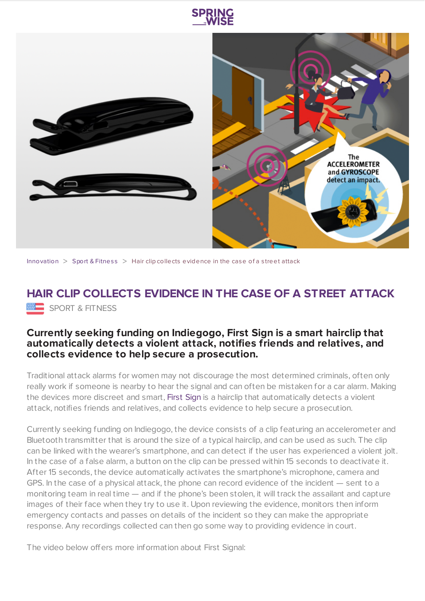



[Innovation](https://www.springwise.com/search?type=innovation)  $>$  Sport & [Fitnes](https://www.springwise.com/search?type=innovation§or=sport-fitness)s  $>$  Hair clip collects evidence in the case of a street attack

## **HAIR CLIP COLLECTS EVIDENCE IN THE CASE OF A STREET ATTACK** SPORT & FITNESS

## **Currently seeking funding on Indiegogo, First Sign is a smart hairclip that automatically detects a violent attack, notifies friends and relatives, and collects evidence to help secure a prosecution.**

Traditional attack alarms for women may not discourage the most determined criminals, often only really work if someone is nearby to hear the signal and can often be mistaken for a car alarm. Making the devices more discreet and smart, [First](http://www.firstsign.us/) Sign is a hairclip that automatically detects a violent attack, notifies friends and relatives, and collects evidence to help secure a prosecution.

Currently seeking funding on Indiegogo, the device consists of a clip featuring an accelerometer and Bluetooth transmitter that is around the size of a typical hairclip, and can be used as such. The clip can be linked with the wearer's smartphone, and can detect if the user has experienced a violent jolt. In the case of a false alarm, a button on the clip can be pressed within 15 seconds to deactivate it. After 15 seconds, the device automatically activates the smartphone's microphone, camera and GPS. In the case of a physical attack, the phone can record evidence of the incident — sent to a monitoring team in real time — and if the phone's been stolen, it will track the assailant and capture images of their face when they try to use it. Upon reviewing the evidence, monitors then inform emergency contacts and passes on details of the incident so they can make the appropriate response. Any recordings collected can then go some way to providing evidence in court.

The video below offers more information about First Signal: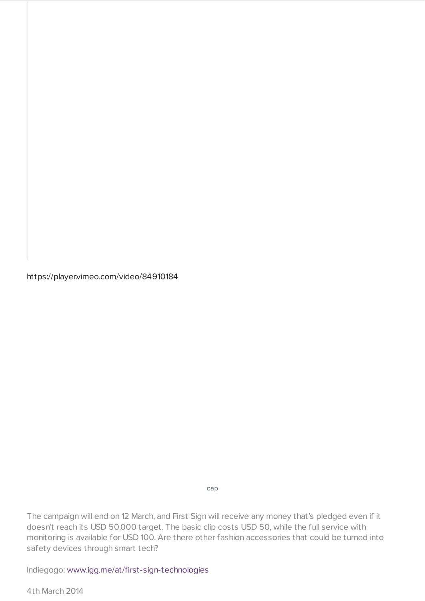https://player.vimeo.com/video/84910184

cap

The campaign will end on 12 March, and First Sign will receive any money that's pledged even if it doesn't reach its USD 50,000 target. The basic clip costs USD 50, while the full service with monitoring is available for USD 100. Are there other fashion accessories that could be turned into safety devices through smart tech?

Indiegogo: [www.igg.me/at/first-sign-technologies](http://igg.me/at/first-sign-technologies)

4th March 2014